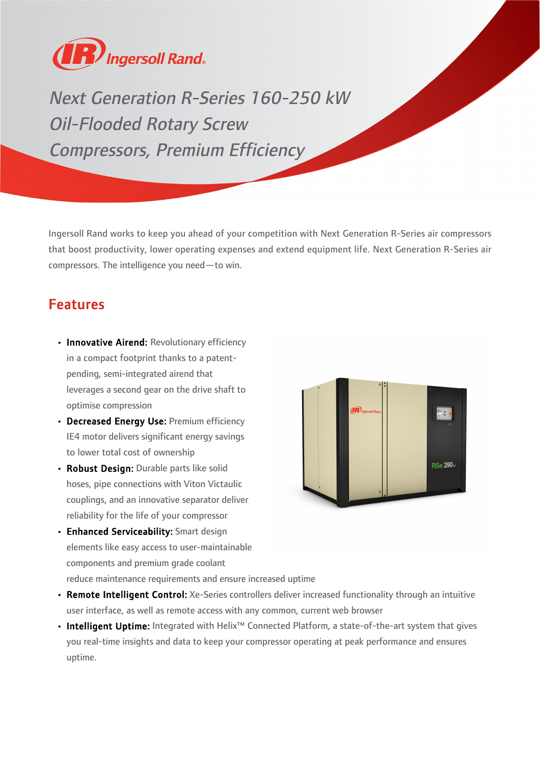

Next Generation R-Series 160-250 kW Oil-Flooded Rotary Screw Compressors, Premium Efficiency

Ingersoll Rand works to keep you ahead of your competition with Next Generation R-Series air compressors that boost productivity, lower operating expenses and extend equipment life. Next Generation R-Series air compressors. The intelligence you need—to win.

## Features

- Innovative Airend: Revolutionary efficiency in a compact footprint thanks to a patentpending, semi-integrated airend that leverages a second gear on the drive shaft to optimise compression
- Decreased Energy Use: Premium efficiency IE4 motor delivers significant energy savings to lower total cost of ownership
- Robust Design: Durable parts like solid hoses, pipe connections with Viton Victaulic couplings, and an innovative separator deliver reliability for the life of your compressor
- Enhanced Serviceability: Smart design elements like easy access to user-maintainable components and premium grade coolant reduce maintenance requirements and ensure increased uptime



- Remote Intelligent Control: Xe-Series controllers deliver increased functionality through an intuitive user interface, as well as remote access with any common, current web browser
- Intelligent Uptime: Integrated with Helix<sup>™</sup> Connected Platform, a state-of-the-art system that gives you real-time insights and data to keep your compressor operating at peak performance and ensures uptime.